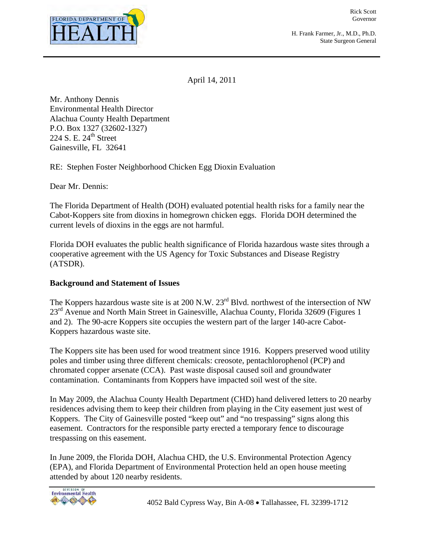

Rick Scott Governor

H. Frank Farmer, Jr., M.D., Ph.D. State Surgeon General

April 14, 2011

Mr. Anthony Dennis Environmental Health Director Alachua County Health Department P.O. Box 1327 (32602-1327) 224 S. E.  $24<sup>th</sup>$  Street Gainesville, FL 32641

RE: Stephen Foster Neighborhood Chicken Egg Dioxin Evaluation

Dear Mr. Dennis:

The Florida Department of Health (DOH) evaluated potential health risks for a family near the Cabot-Koppers site from dioxins in homegrown chicken eggs. Florida DOH determined the current levels of dioxins in the eggs are not harmful.

Florida DOH evaluates the public health significance of Florida hazardous waste sites through a cooperative agreement with the US Agency for Toxic Substances and Disease Registry (ATSDR).

#### **Background and Statement of Issues**

The Koppers hazardous waste site is at 200 N.W. 23<sup>rd</sup> Blvd. northwest of the intersection of NW 23<sup>rd</sup> Avenue and North Main Street in Gainesville, Alachua County, Florida 32609 (Figures 1) and 2). The 90-acre Koppers site occupies the western part of the larger 140-acre Cabot-Koppers hazardous waste site.

The Koppers site has been used for wood treatment since 1916. Koppers preserved wood utility poles and timber using three different chemicals: creosote, pentachlorophenol (PCP) and chromated copper arsenate (CCA). Past waste disposal caused soil and groundwater contamination. Contaminants from Koppers have impacted soil west of the site.

In May 2009, the Alachua County Health Department (CHD) hand delivered letters to 20 nearby residences advising them to keep their children from playing in the City easement just west of Koppers. The City of Gainesville posted "keep out" and "no trespassing" signs along this easement. Contractors for the responsible party erected a temporary fence to discourage trespassing on this easement.

In June 2009, the Florida DOH, Alachua CHD, the U.S. Environmental Protection Agency (EPA), and Florida Department of Environmental Protection held an open house meeting attended by about 120 nearby residents.

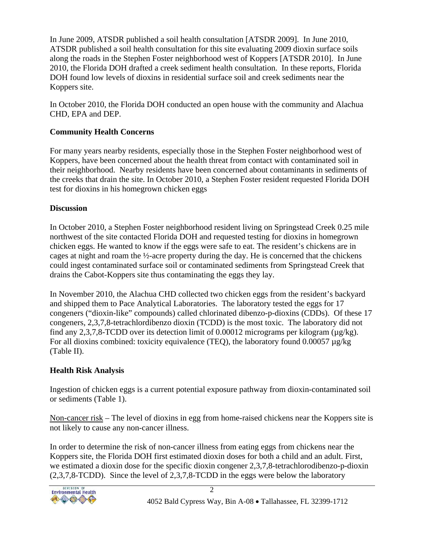In June 2009, ATSDR published a soil health consultation [ATSDR 2009]. In June 2010, ATSDR published a soil health consultation for this site evaluating 2009 dioxin surface soils along the roads in the Stephen Foster neighborhood west of Koppers [ATSDR 2010]. In June 2010, the Florida DOH drafted a creek sediment health consultation. In these reports, Florida DOH found low levels of dioxins in residential surface soil and creek sediments near the Koppers site.

In October 2010, the Florida DOH conducted an open house with the community and Alachua CHD, EPA and DEP.

# **Community Health Concerns**

For many years nearby residents, especially those in the Stephen Foster neighborhood west of Koppers, have been concerned about the health threat from contact with contaminated soil in their neighborhood. Nearby residents have been concerned about contaminants in sediments of the creeks that drain the site. In October 2010, a Stephen Foster resident requested Florida DOH test for dioxins in his homegrown chicken eggs

## **Discussion**

In October 2010, a Stephen Foster neighborhood resident living on Springstead Creek 0.25 mile northwest of the site contacted Florida DOH and requested testing for dioxins in homegrown chicken eggs. He wanted to know if the eggs were safe to eat. The resident's chickens are in cages at night and roam the ½-acre property during the day. He is concerned that the chickens could ingest contaminated surface soil or contaminated sediments from Springstead Creek that drains the Cabot-Koppers site thus contaminating the eggs they lay.

In November 2010, the Alachua CHD collected two chicken eggs from the resident's backyard and shipped them to Pace Analytical Laboratories. The laboratory tested the eggs for 17 congeners ("dioxin-like" compounds) called chlorinated dibenzo-p-dioxins (CDDs). Of these 17 congeners, 2,3,7,8-tetrachlordibenzo dioxin (TCDD) is the most toxic. The laboratory did not find any 2,3,7,8-TCDD over its detection limit of 0.00012 micrograms per kilogram ( $\mu$ g/kg). For all dioxins combined: toxicity equivalence (TEQ), the laboratory found 0.00057  $\mu$ g/kg (Table II).

## **Health Risk Analysis**

Ingestion of chicken eggs is a current potential exposure pathway from dioxin-contaminated soil or sediments (Table 1).

Non-cancer risk – The level of dioxins in egg from home-raised chickens near the Koppers site is not likely to cause any non-cancer illness.

In order to determine the risk of non-cancer illness from eating eggs from chickens near the Koppers site, the Florida DOH first estimated dioxin doses for both a child and an adult. First, we estimated a dioxin dose for the specific dioxin congener 2,3,7,8-tetrachlorodibenzo-p-dioxin (2,3,7,8-TCDD). Since the level of 2,3,7,8-TCDD in the eggs were below the laboratory

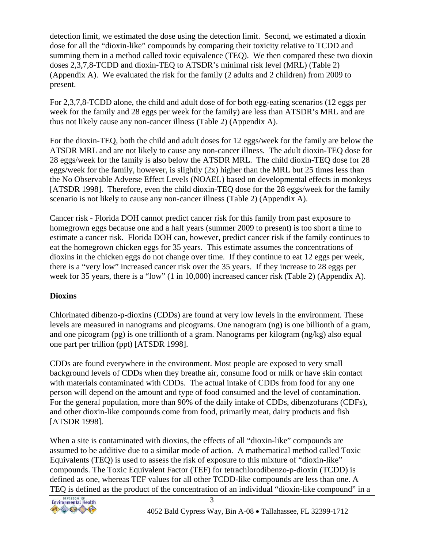detection limit, we estimated the dose using the detection limit. Second, we estimated a dioxin dose for all the "dioxin-like" compounds by comparing their toxicity relative to TCDD and summing them in a method called toxic equivalence (TEQ). We then compared these two dioxin doses 2,3,7,8-TCDD and dioxin-TEQ to ATSDR's minimal risk level (MRL) (Table 2) (Appendix A). We evaluated the risk for the family (2 adults and 2 children) from 2009 to present.

For 2,3,7,8-TCDD alone, the child and adult dose of for both egg-eating scenarios (12 eggs per week for the family and 28 eggs per week for the family) are less than ATSDR's MRL and are thus not likely cause any non-cancer illness (Table 2) (Appendix A).

For the dioxin-TEQ, both the child and adult doses for 12 eggs/week for the family are below the ATSDR MRL and are not likely to cause any non-cancer illness. The adult dioxin-TEQ dose for 28 eggs/week for the family is also below the ATSDR MRL. The child dioxin-TEQ dose for 28 eggs/week for the family, however, is slightly (2x) higher than the MRL but 25 times less than the No Observable Adverse Effect Levels (NOAEL) based on developmental effects in monkeys [ATSDR 1998]. Therefore, even the child dioxin-TEQ dose for the 28 eggs/week for the family scenario is not likely to cause any non-cancer illness (Table 2) (Appendix A).

Cancer risk - Florida DOH cannot predict cancer risk for this family from past exposure to homegrown eggs because one and a half years (summer 2009 to present) is too short a time to estimate a cancer risk. Florida DOH can, however, predict cancer risk if the family continues to eat the homegrown chicken eggs for 35 years. This estimate assumes the concentrations of dioxins in the chicken eggs do not change over time. If they continue to eat 12 eggs per week, there is a "very low" increased cancer risk over the 35 years. If they increase to 28 eggs per week for 35 years, there is a "low" (1 in 10,000) increased cancer risk (Table 2) (Appendix A).

## **Dioxins**

Chlorinated dibenzo-p-dioxins (CDDs) are found at very low levels in the environment. These levels are measured in nanograms and picograms. One nanogram (ng) is one billionth of a gram, and one picogram (pg) is one trillionth of a gram. Nanograms per kilogram (ng/kg) also equal one part per trillion (ppt) [ATSDR 1998].

CDDs are found everywhere in the environment. Most people are exposed to very small background levels of CDDs when they breathe air, consume food or milk or have skin contact with materials contaminated with CDDs. The actual intake of CDDs from food for any one person will depend on the amount and type of food consumed and the level of contamination. For the general population, more than 90% of the daily intake of CDDs, dibenzofurans (CDFs), and other dioxin-like compounds come from food, primarily meat, dairy products and fish [ATSDR 1998].

When a site is contaminated with dioxins, the effects of all "dioxin-like" compounds are assumed to be additive due to a similar mode of action. A mathematical method called Toxic Equivalents (TEQ) is used to assess the risk of exposure to this mixture of "dioxin-like" compounds. The Toxic Equivalent Factor (TEF) for tetrachlorodibenzo-p-dioxin (TCDD) is defined as one, whereas TEF values for all other TCDD-like compounds are less than one. A TEQ is defined as the product of the concentration of an individual "dioxin-like compound" in a

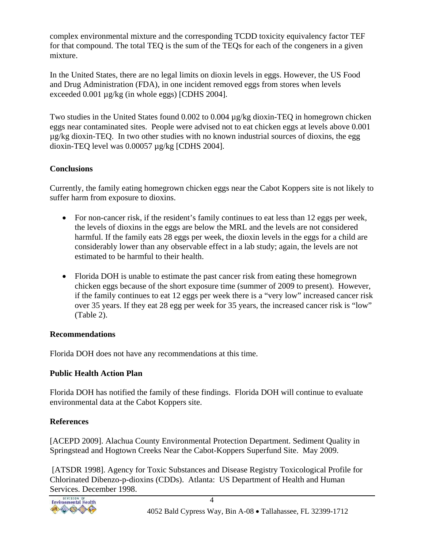complex environmental mixture and the corresponding TCDD toxicity equivalency factor TEF for that compound. The total TEQ is the sum of the TEQs for each of the congeners in a given mixture.

In the United States, there are no legal limits on dioxin levels in eggs. However, the US Food and Drug Administration (FDA), in one incident removed eggs from stores when levels exceeded 0.001 µg/kg (in whole eggs) [CDHS 2004].

Two studies in the United States found 0.002 to 0.004 µg/kg dioxin-TEQ in homegrown chicken eggs near contaminated sites. People were advised not to eat chicken eggs at levels above 0.001 µg/kg dioxin-TEQ. In two other studies with no known industrial sources of dioxins, the egg dioxin-TEQ level was 0.00057 µg/kg [CDHS 2004].

#### **Conclusions**

Currently, the family eating homegrown chicken eggs near the Cabot Koppers site is not likely to suffer harm from exposure to dioxins.

- For non-cancer risk, if the resident's family continues to eat less than 12 eggs per week, the levels of dioxins in the eggs are below the MRL and the levels are not considered harmful. If the family eats 28 eggs per week, the dioxin levels in the eggs for a child are considerably lower than any observable effect in a lab study; again, the levels are not estimated to be harmful to their health.
- Florida DOH is unable to estimate the past cancer risk from eating these homegrown chicken eggs because of the short exposure time (summer of 2009 to present). However, if the family continues to eat 12 eggs per week there is a "very low" increased cancer risk over 35 years. If they eat 28 egg per week for 35 years, the increased cancer risk is "low" (Table 2).

#### **Recommendations**

Florida DOH does not have any recommendations at this time.

## **Public Health Action Plan**

Florida DOH has notified the family of these findings. Florida DOH will continue to evaluate environmental data at the Cabot Koppers site.

## **References**

[ACEPD 2009]. Alachua County Environmental Protection Department. Sediment Quality in Springstead and Hogtown Creeks Near the Cabot-Koppers Superfund Site. May 2009.

 [ATSDR 1998]. Agency for Toxic Substances and Disease Registry Toxicological Profile for Chlorinated Dibenzo-p-dioxins (CDDs). Atlanta: US Department of Health and Human Services. December 1998.

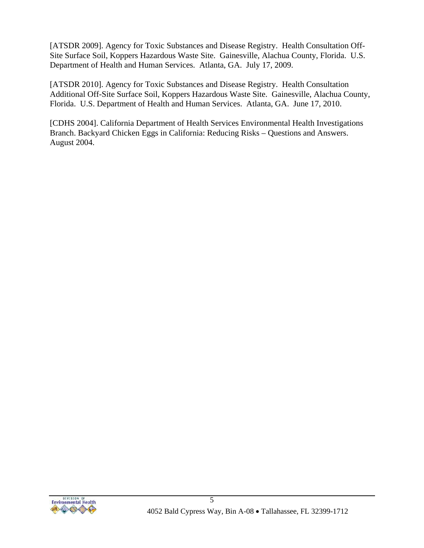[ATSDR 2009]. Agency for Toxic Substances and Disease Registry. Health Consultation Off-Site Surface Soil, Koppers Hazardous Waste Site. Gainesville, Alachua County, Florida. U.S. Department of Health and Human Services. Atlanta, GA. July 17, 2009.

[ATSDR 2010]. Agency for Toxic Substances and Disease Registry. Health Consultation Additional Off-Site Surface Soil, Koppers Hazardous Waste Site. Gainesville, Alachua County, Florida. U.S. Department of Health and Human Services. Atlanta, GA. June 17, 2010.

[CDHS 2004]. California Department of Health Services Environmental Health Investigations Branch. Backyard Chicken Eggs in California: Reducing Risks – Questions and Answers. August 2004.

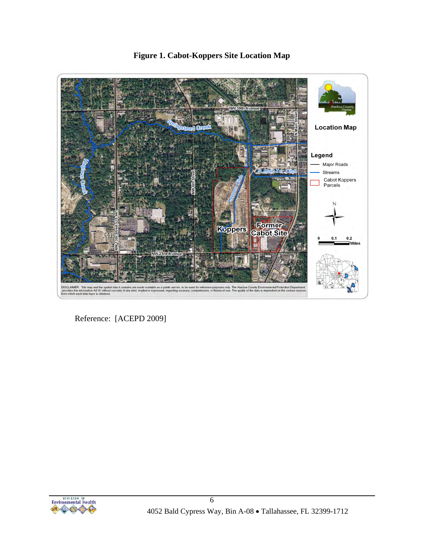

**Figure 1. Cabot-Koppers Site Location Map** 

Reference: [ACEPD 2009]

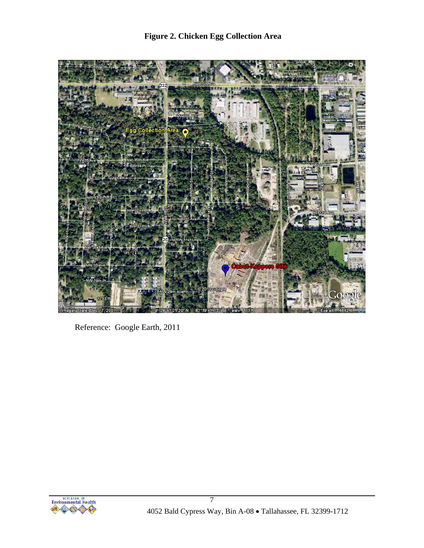

Reference: Google Earth, 2011

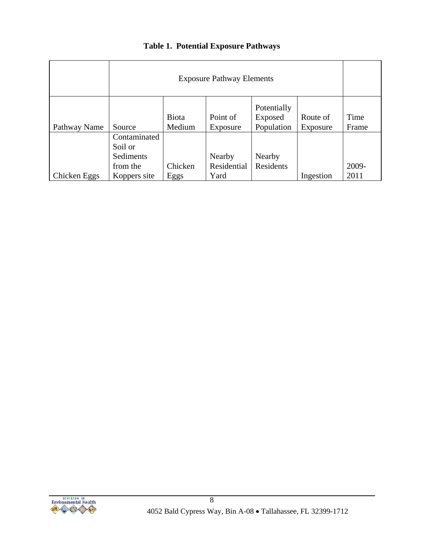|              | <b>Exposure Pathway Elements</b>                 |                        |                       |                                      |                      |               |
|--------------|--------------------------------------------------|------------------------|-----------------------|--------------------------------------|----------------------|---------------|
| Pathway Name | Source                                           | <b>Biota</b><br>Medium | Point of<br>Exposure  | Potentially<br>Exposed<br>Population | Route of<br>Exposure | Time<br>Frame |
|              | Contaminated<br>Soil or<br>Sediments<br>from the | Chicken                | Nearby<br>Residential | Nearby<br>Residents                  |                      | 2009-         |
| Chicken Eggs | Koppers site                                     | <u>Eggs</u>            | Yard                  |                                      | Ingestion            | 2011          |

#### **Table 1. Potential Exposure Pathways**

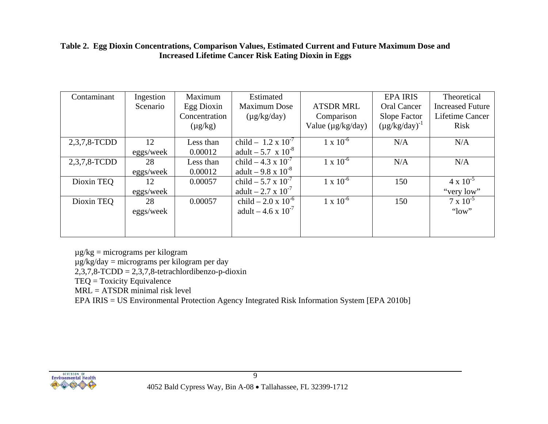#### **Table 2. Egg Dioxin Concentrations, Comparison Values, Estimated Current and Future Maximum Dose and Increased Lifetime Cancer Risk Eating Dioxin in Eggs**

| Contaminant  | Ingestion<br>Scenario | Maximum<br>Egg Dioxin<br>Concentration<br>$(\mu g/kg)$ | Estimated<br><b>Maximum Dose</b><br>$(\mu g/kg/day)$        | <b>ATSDR MRL</b><br>Comparison<br>Value (µg/kg/day) | <b>EPA IRIS</b><br><b>Oral Cancer</b><br>Slope Factor<br>$(\mu g/kg/day)^{-1}$ | Theoretical<br><b>Increased Future</b><br>Lifetime Cancer<br>Risk |
|--------------|-----------------------|--------------------------------------------------------|-------------------------------------------------------------|-----------------------------------------------------|--------------------------------------------------------------------------------|-------------------------------------------------------------------|
| 2,3,7,8-TCDD | 12<br>eggs/week       | Less than<br>0.00012                                   | child - $1.2 \times 10^{-7}$<br>adult $-5.7 \times 10^{-8}$ | $1 \times 10^{-6}$                                  | N/A                                                                            | N/A                                                               |
| 2,3,7,8-TCDD | 28<br>eggs/week       | Less than<br>0.00012                                   | child $-4.3 \times 10^{-7}$<br>adult – $9.8 \times 10^{-8}$ | $1 \times 10^{-6}$                                  | N/A                                                                            | N/A                                                               |
| Dioxin TEQ   | 12<br>eggs/week       | 0.00057                                                | child $-5.7 \times 10^{-7}$<br>adult – 2.7 x $10^{-7}$      | $1 \times 10^{-6}$                                  | 150                                                                            | $4 \times 10^{-5}$<br>"very low"                                  |
| Dioxin TEQ   | 28<br>eggs/week       | 0.00057                                                | child $-2.0 \times 10^{-6}$<br>adult – 4.6 x $10^{-7}$      | $1 \times 10^{-6}$                                  | 150                                                                            | $7 \times 10^{-5}$<br>" $low"$                                    |

µg/kg = micrograms per kilogram

µg/kg/day = micrograms per kilogram per day

2,3,7,8-TCDD = 2,3,7,8-tetrachlordibenzo-p-dioxin

TEQ = Toxicity Equivalence

MRL = ATSDR minimal risk level

EPA IRIS = US Environmental Protection Agency Integrated Risk Information System [EPA 2010b]

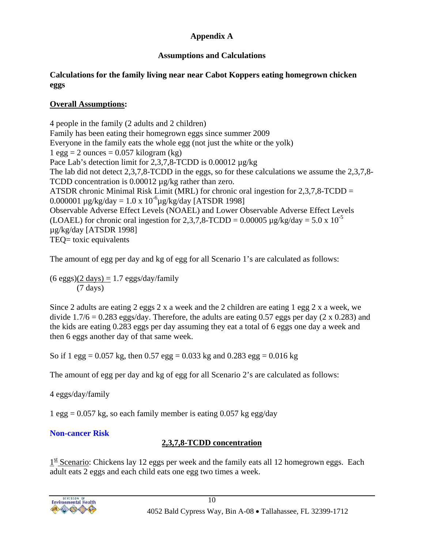#### **Appendix A**

## **Assumptions and Calculations**

#### **Calculations for the family living near near Cabot Koppers eating homegrown chicken eggs**

#### **Overall Assumptions:**

4 people in the family (2 adults and 2 children) Family has been eating their homegrown eggs since summer 2009 Everyone in the family eats the whole egg (not just the white or the yolk)  $1 \text{ egg} = 2 \text{ ounces} = 0.057 \text{ kilogram (kg)}$ Pace Lab's detection limit for 2,3,7,8-TCDD is 0.00012  $\mu$ g/kg The lab did not detect 2,3,7,8-TCDD in the eggs, so for these calculations we assume the 2,3,7,8- TCDD concentration is 0.00012  $\mu$ g/kg rather than zero. ATSDR chronic Minimal Risk Limit (MRL) for chronic oral ingestion for 2,3,7,8-TCDD = 0.000001  $\mu$ g/kg/day = 1.0 x 10<sup>-6</sup> $\mu$ g/kg/day [ATSDR 1998] Observable Adverse Effect Levels (NOAEL) and Lower Observable Adverse Effect Levels (LOAEL) for chronic oral ingestion for 2,3,7,8-TCDD = 0.00005  $\mu$ g/kg/day = 5.0 x 10<sup>-5</sup> µg/kg/day [ATSDR 1998] TEQ= toxic equivalents

The amount of egg per day and kg of egg for all Scenario 1's are calculated as follows:

 $(6 \text{ eggs})(2 \text{ days}) = 1.7 \text{ eggs/day/family}$ (7 days)

Since 2 adults are eating 2 eggs 2 x a week and the 2 children are eating 1 egg 2 x a week, we divide  $1.7/6 = 0.283$  eggs/day. Therefore, the adults are eating 0.57 eggs per day (2 x 0.283) and the kids are eating 0.283 eggs per day assuming they eat a total of 6 eggs one day a week and then 6 eggs another day of that same week.

So if 1 egg =  $0.057$  kg, then 0.57 egg =  $0.033$  kg and 0.283 egg =  $0.016$  kg

The amount of egg per day and kg of egg for all Scenario 2's are calculated as follows:

4 eggs/day/family

1 egg =  $0.057$  kg, so each family member is eating  $0.057$  kg egg/day

## **Non-cancer Risk**

# **2,3,7,8-TCDD concentration**

 $1<sup>st</sup>$  Scenario: Chickens lay 12 eggs per week and the family eats all 12 homegrown eggs. Each adult eats 2 eggs and each child eats one egg two times a week.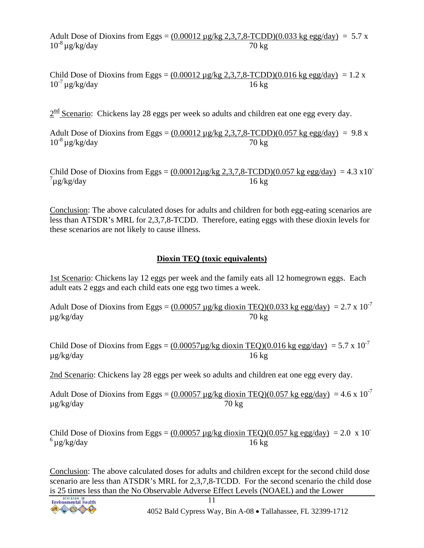Adult Dose of Dioxins from Eggs =  $(0.00012 \mu g/kg \ 2.3.7.8 \text{-} TCDD)(0.033 \text{ kg egg/day}) = 5.7 \text{ x}$  $10^{-8} \mu g/kg/day$  70 kg

Child Dose of Dioxins from Eggs =  $(0.00012 \mu$ g/kg 2,3,7,8-TCDD)(0.016 kg egg/day) = 1.2 x  $10^{-7}$  ug/kg/day  $16 \text{ kg}$ 

 $2^{\text{nd}}$  Scenario: Chickens lay 28 eggs per week so adults and children eat one egg every day.

Adult Dose of Dioxins from Eggs =  $(0.00012 \mu\text{g/kg } 2.3.7.8 \text{-} TCDD)(0.057 \text{ kg egg/day}) = 9.8 \text{ x}$  $10^{-8} \mu$ g/kg/day 70 kg

Child Dose of Dioxins from Eggs =  $(0.00012\mu\text{g/kg } 2.3.7.8 \text{-TCDD})(0.057 \text{ kg egg/day}) = 4.3 \times 10^{-7}$  $\int \mu$ g/kg/day 16 kg

Conclusion: The above calculated doses for adults and children for both egg-eating scenarios are less than ATSDR's MRL for 2,3,7,8-TCDD. Therefore, eating eggs with these dioxin levels for these scenarios are not likely to cause illness.

#### **Dioxin TEQ (toxic equivalents)**

1st Scenario: Chickens lay 12 eggs per week and the family eats all 12 homegrown eggs. Each adult eats 2 eggs and each child eats one egg two times a week.

Adult Dose of Dioxins from Eggs =  $(0.00057 \,\mu\text{g/kg} \text{ dioxin} \text{ TEQ})(0.033 \,\text{kg} \text{ egg/day}) = 2.7 \times 10^{-7}$ µg/kg/day 70 kg

Child Dose of Dioxins from Eggs =  $(0.00057 \mu g/kg \text{ dioxin TEQ})(0.016 \text{ kg egg/day}) = 5.7 \times 10^{-7}$  $\mu$ g/kg/day 16 kg

2nd Scenario: Chickens lay 28 eggs per week so adults and children eat one egg every day.

Adult Dose of Dioxins from Eggs =  $(0.00057 \,\mu\text{g/kg} \text{ dioxin} \text{ TEQ})(0.057 \,\text{kg} \text{ egg/day}) = 4.6 \times 10^{-7}$ µg/kg/day 70 kg

Child Dose of Dioxins from Eggs =  $(0.00057 \text{ µg/kg}$  dioxin TEQ $)(0.057 \text{ kg}$  egg/day $) = 2.0 \text{ x } 10^{-1}$  $^{6}$ ug/kg/day 16 kg

Conclusion: The above calculated doses for adults and children except for the second child dose scenario are less than ATSDR's MRL for 2,3,7,8-TCDD. For the second scenario the child dose is 25 times less than the No Observable Adverse Effect Levels (NOAEL) and the Lower

4052 Bald Cypress Way, Bin A-08 • Tallahassee, FL 32399-1712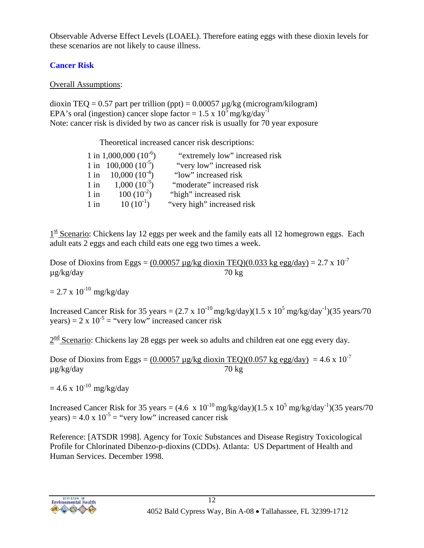Observable Adverse Effect Levels (LOAEL). Therefore eating eggs with these dioxin levels for these scenarios are not likely to cause illness.

# **Cancer Risk**

#### Overall Assumptions:

dioxin TEQ = 0.57 part per trillion (ppt) = 0.00057  $\mu$ g/kg (microgram/kilogram) EPA's oral (ingestion) cancer slope factor =  $1.5 \times 10^5$  mg/kg/day<sup>-1</sup> Note: cancer risk is divided by two as cancer risk is usually for 70 year exposure

Theoretical increased cancer risk descriptions:

|        | 1 in 1,000,000 $(10^{-6})$ | "extremely low" increased risk |
|--------|----------------------------|--------------------------------|
|        | 1 in 100,000 $(10^{-5})$   | "very low" increased risk      |
| $1$ in | $10,000(10^{-4})$          | "low" increased risk           |
| $1$ in | $1,000(10^{-3})$           | "moderate" increased risk      |
| $1$ in | $100(10^{-2})$             | "high" increased risk          |
| $1$ in | $10(10^{-1})$              | "very high" increased risk     |

 $1<sup>st</sup>$  Scenario: Chickens lay 12 eggs per week and the family eats all 12 homegrown eggs. Each adult eats 2 eggs and each child eats one egg two times a week.

Dose of Dioxins from Eggs =  $(0.00057 \,\mu\text{g/kg}$  dioxin TEQ)(0.033 kg egg/day) = 2.7 x 10<sup>-7</sup> µg/kg/day 70 kg

 $= 2.7 \times 10^{-10} \text{ mg/kg/day}$ 

Increased Cancer Risk for 35 years =  $(2.7 \times 10^{-10} \text{mg/kg/day})(1.5 \times 10^5 \text{mg/kg/day}^{-1})(35 \text{ years}/70$ years) =  $2 \times 10^{-5}$  = "very low" increased cancer risk

 $2<sup>nd</sup>$  Scenario: Chickens lay 28 eggs per week so adults and children eat one egg every day.

Dose of Dioxins from Eggs =  $(0.00057 \text{ µg/kg}$  dioxin TEQ) $(0.057 \text{ kg} \text{ egg/day}) = 4.6 \text{ x } 10^{-7}$  $\mu$ g/kg/day 70 kg

 $= 4.6 \times 10^{-10}$  mg/kg/day

Increased Cancer Risk for 35 years =  $(4.6 \times 10^{-10} \text{mg/kg/day})(1.5 \times 10^5 \text{mg/kg/day}^{-1})(35 \text{ years}/70$ years) =  $4.0 \times 10^{-5}$  = "very low" increased cancer risk

Reference: [ATSDR 1998]. Agency for Toxic Substances and Disease Registry Toxicological Profile for Chlorinated Dibenzo-p-dioxins (CDDs). Atlanta: US Department of Health and Human Services. December 1998.